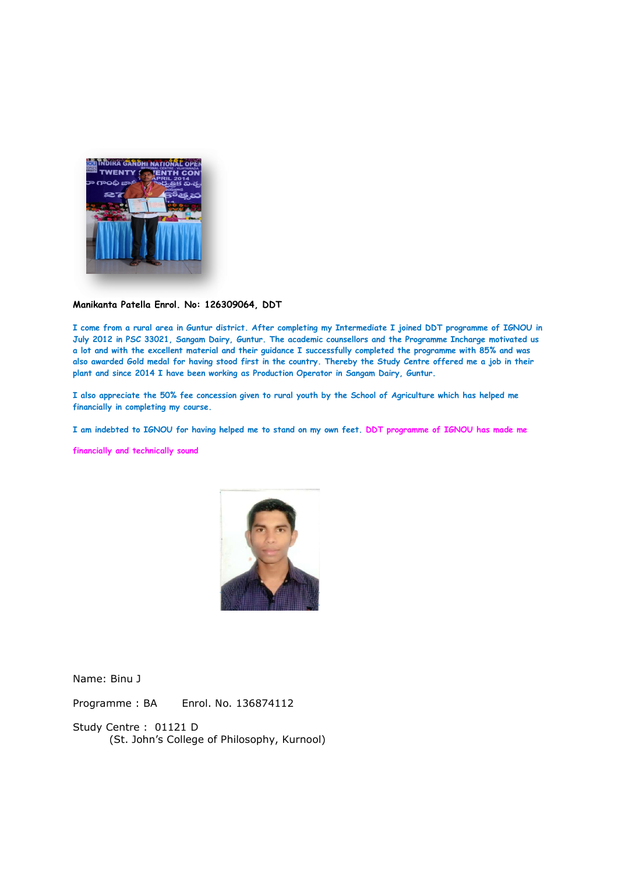

## Manikanta Patella Enrol. No: 126309064, DDT

I come from a rural area in Guntur district. After completing my Intermediate I joined DDT programme of IGNOU in I come from a rural area in Guntur district. After completing my Intermediate I joined DDT programme of IGNOU in<br>July 2012 in PSC 33021, Sangam Dairy, Guntur. The academic counsellors and the Programme Incharge motivated u a lot and with the excellent material and their guidance I successfully completed the programme with 85% and was also awarded Gold medal for having stood first in the country. Thereby the Study Centre offered me a job in their plant and since 2014 I have been working as Production Operator in Sangam Dairy, Guntur. md with the excellent material and their guidance I successfully completed the programme with 85% and was varded Gold medal for having stood first in the country. Thereby the Study Centre offered me a job in their nd since If come from a rural area in Guntur dirtict. After completing my Intermediate I joined DDT programme Inchorge mortivated use ior and with the social company barry than the intermediate I joined DDT programme with 65% and u also awarded Gold medal for having stood first in the country. Thereby the Study Centre offered me a job in their

I also appreciate the 50% fee concession given to rural youth by the School of Agriculture which has helped me I also appreciate the 50% fee concession given to rural youth by the School of Agriculture which has helped me financially in completing my course.

I am indebted to IGNOU for having helped me to stand on my own feet. DDT programme of IGNOU has made me

financially and technically sound



Name: Binu J

Programme : BA Enrol. No. 136874112

Study Centre : 01121 D (St. John's College of Philosophy, Kurnool)